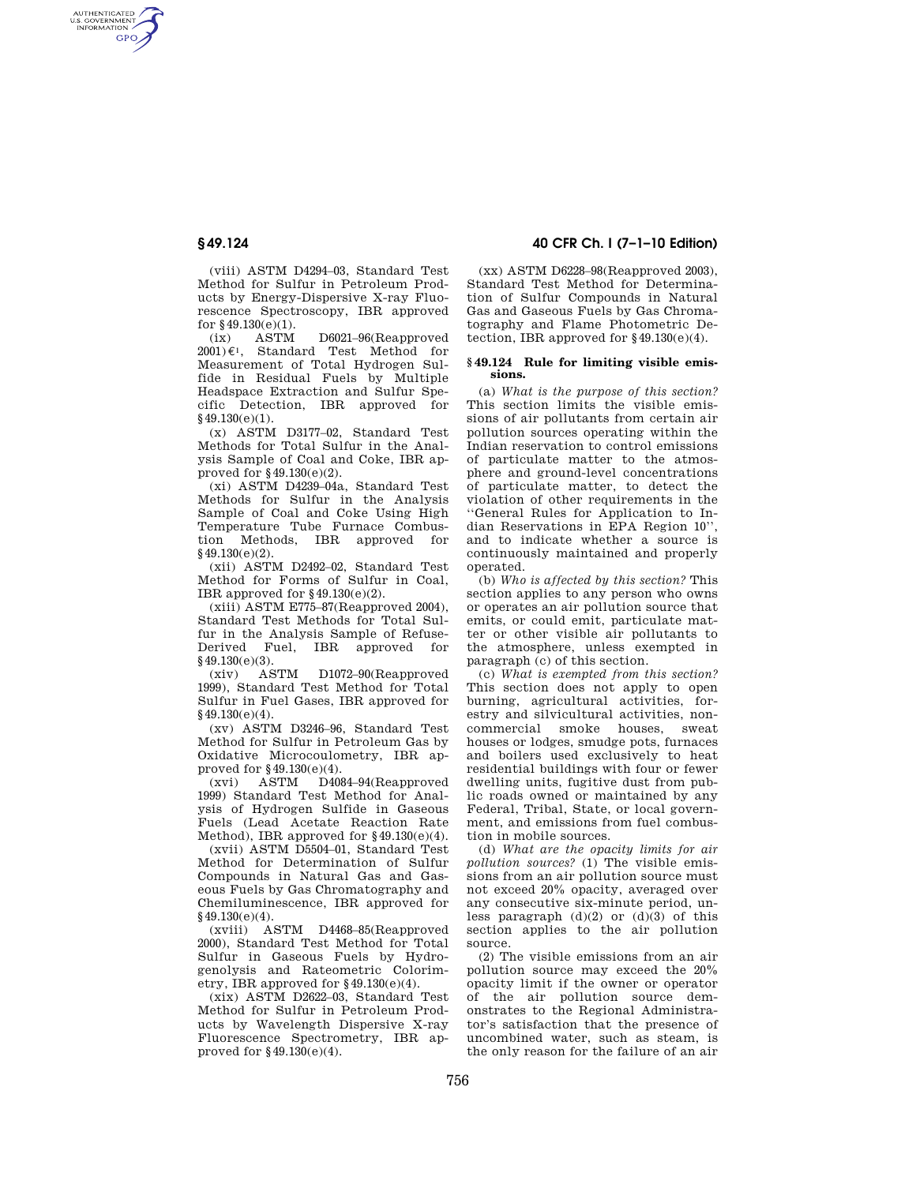AUTHENTICATED<br>U.S. GOVERNMENT<br>INFORMATION **GPO** 

> (viii) ASTM D4294–03, Standard Test Method for Sulfur in Petroleum Products by Energy-Dispersive X-ray Fluorescence Spectroscopy, IBR approved for §49.130(e)(1).

> (ix) ASTM D6021–96(Reapproved  $2001\varepsilon$ <sup>1</sup>, Standard Test Method for Measurement of Total Hydrogen Sulfide in Residual Fuels by Multiple Headspace Extraction and Sulfur Specific Detection, IBR approved for §49.130(e)(1).

> (x) ASTM D3177–02, Standard Test Methods for Total Sulfur in the Analysis Sample of Coal and Coke, IBR approved for §49.130(e)(2).

(xi) ASTM D4239–04a, Standard Test Methods for Sulfur in the Analysis Sample of Coal and Coke Using High Temperature Tube Furnace Combustion Methods, IBR approved for §49.130(e)(2).

(xii) ASTM D2492–02, Standard Test Method for Forms of Sulfur in Coal, IBR approved for §49.130(e)(2).

(xiii) ASTM E775–87(Reapproved 2004), Standard Test Methods for Total Sulfur in the Analysis Sample of Refuse-Derived Fuel, IBR approved for

 $$49.130(e)(3).$ <br>(xiv) ASTM (xiv) ASTM D1072–90(Reapproved 1999), Standard Test Method for Total Sulfur in Fuel Gases, IBR approved for §49.130(e)(4).

(xv) ASTM D3246–96, Standard Test Method for Sulfur in Petroleum Gas by Oxidative Microcoulometry, IBR approved for  $\S 49.130(e)(4)$ .<br>(xyi) ASTM D408

ASTM D4084–94(Reapproved 1999) Standard Test Method for Analysis of Hydrogen Sulfide in Gaseous Fuels (Lead Acetate Reaction Rate Method), IBR approved for  $§49.130(e)(4)$ .

(xvii) ASTM D5504–01, Standard Test Method for Determination of Sulfur Compounds in Natural Gas and Gaseous Fuels by Gas Chromatography and Chemiluminescence, IBR approved for §49.130(e)(4).

(xviii) ASTM D4468–85(Reapproved 2000), Standard Test Method for Total Sulfur in Gaseous Fuels by Hydrogenolysis and Rateometric Colorimetry, IBR approved for §49.130(e)(4).

(xix) ASTM D2622–03, Standard Test Method for Sulfur in Petroleum Products by Wavelength Dispersive X-ray Fluorescence Spectrometry, IBR approved for  $§49.130(e)(4)$ .

# **§ 49.124 40 CFR Ch. I (7–1–10 Edition)**

(xx) ASTM D6228–98(Reapproved 2003), Standard Test Method for Determination of Sulfur Compounds in Natural Gas and Gaseous Fuels by Gas Chromatography and Flame Photometric Detection, IBR approved for  $§49.130(e)(4)$ .

### **§ 49.124 Rule for limiting visible emissions.**

(a) *What is the purpose of this section?*  This section limits the visible emissions of air pollutants from certain air pollution sources operating within the Indian reservation to control emissions of particulate matter to the atmosphere and ground-level concentrations of particulate matter, to detect the violation of other requirements in the ''General Rules for Application to Indian Reservations in EPA Region 10'', and to indicate whether a source is continuously maintained and properly operated.

(b) *Who is affected by this section?* This section applies to any person who owns or operates an air pollution source that emits, or could emit, particulate matter or other visible air pollutants to the atmosphere, unless exempted in paragraph (c) of this section.

(c) *What is exempted from this section?*  This section does not apply to open burning, agricultural activities, forestry and silvicultural activities, noncommercial smoke houses, sweat, houses or lodges, smudge pots, furnaces and boilers used exclusively to heat residential buildings with four or fewer dwelling units, fugitive dust from public roads owned or maintained by any Federal, Tribal, State, or local government, and emissions from fuel combustion in mobile sources.

(d) *What are the opacity limits for air pollution sources?* (1) The visible emissions from an air pollution source must not exceed 20% opacity, averaged over any consecutive six-minute period, unless paragraph  $(d)(2)$  or  $(d)(3)$  of this section applies to the air pollution source.

(2) The visible emissions from an air pollution source may exceed the 20% opacity limit if the owner or operator of the air pollution source demonstrates to the Regional Administrator's satisfaction that the presence of uncombined water, such as steam, is the only reason for the failure of an air